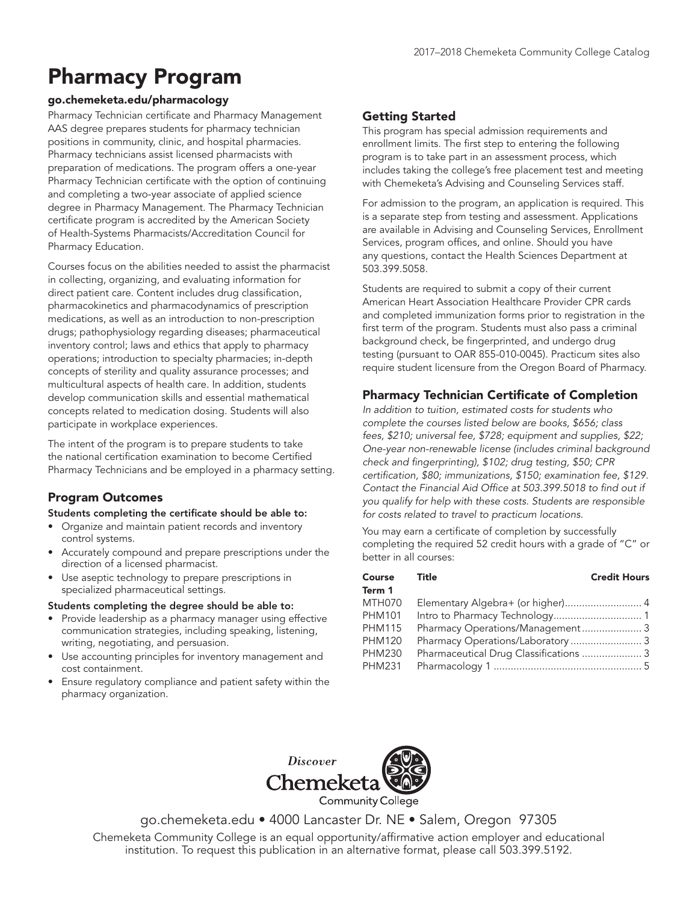# Pharmacy Program

## go.chemeketa.edu/pharmacology

Pharmacy Technician certificate and Pharmacy Management AAS degree prepares students for pharmacy technician positions in community, clinic, and hospital pharmacies. Pharmacy technicians assist licensed pharmacists with preparation of medications. The program offers a one-year Pharmacy Technician certificate with the option of continuing and completing a two-year associate of applied science degree in Pharmacy Management. The Pharmacy Technician certificate program is accredited by the American Society of Health-Systems Pharmacists/Accreditation Council for Pharmacy Education.

Courses focus on the abilities needed to assist the pharmacist in collecting, organizing, and evaluating information for direct patient care. Content includes drug classification, pharmacokinetics and pharmacodynamics of prescription medications, as well as an introduction to non-prescription drugs; pathophysiology regarding diseases; pharmaceutical inventory control; laws and ethics that apply to pharmacy operations; introduction to specialty pharmacies; in-depth concepts of sterility and quality assurance processes; and multicultural aspects of health care. In addition, students develop communication skills and essential mathematical concepts related to medication dosing. Students will also participate in workplace experiences.

The intent of the program is to prepare students to take the national certification examination to become Certified Pharmacy Technicians and be employed in a pharmacy setting.

# Program Outcomes

#### Students completing the certificate should be able to:

- Organize and maintain patient records and inventory control systems.
- Accurately compound and prepare prescriptions under the direction of a licensed pharmacist.
- Use aseptic technology to prepare prescriptions in specialized pharmaceutical settings.

#### Students completing the degree should be able to:

- Provide leadership as a pharmacy manager using effective communication strategies, including speaking, listening, writing, negotiating, and persuasion.
- Use accounting principles for inventory management and cost containment.
- Ensure regulatory compliance and patient safety within the pharmacy organization.

# Getting Started

This program has special admission requirements and enrollment limits. The first step to entering the following program is to take part in an assessment process, which includes taking the college's free placement test and meeting with Chemeketa's Advising and Counseling Services staff.

For admission to the program, an application is required. This is a separate step from testing and assessment. Applications are available in Advising and Counseling Services, Enrollment Services, program offices, and online. Should you have any questions, contact the Health Sciences Department at 503.399.5058.

Students are required to submit a copy of their current American Heart Association Healthcare Provider CPR cards and completed immunization forms prior to registration in the first term of the program. Students must also pass a criminal background check, be fingerprinted, and undergo drug testing (pursuant to OAR 855-010-0045). Practicum sites also require student licensure from the Oregon Board of Pharmacy.

## Pharmacy Technician Certificate of Completion

In addition to tuition, estimated costs for students who complete the courses listed below are books, \$656; class fees, \$210; universal fee, \$728; equipment and supplies, \$22; One-year non-renewable license (includes criminal background check and fingerprinting), \$102; drug testing, \$50; CPR certification, \$80; immunizations, \$150; examination fee, \$129. Contact the Financial Aid Office at 503.399.5018 to find out if you qualify for help with these costs. Students are responsible for costs related to travel to practicum locations.

You may earn a certificate of completion by successfully completing the required 52 credit hours with a grade of "C" or better in all courses:

| Course Title  |                                   | <b>Credit Hours</b> |
|---------------|-----------------------------------|---------------------|
| Term 1        |                                   |                     |
| MTH070        | Elementary Algebra+ (or higher) 4 |                     |
| <b>PHM101</b> |                                   |                     |
| <b>PHM115</b> | Pharmacy Operations/Management 3  |                     |
| <b>PHM120</b> | Pharmacy Operations/Laboratory  3 |                     |
| <b>PHM230</b> |                                   |                     |
| PHM231        |                                   |                     |



go.chemeketa.edu • 4000 Lancaster Dr. NE • Salem, Oregon 97305

Chemeketa Community College is an equal opportunity/affirmative action employer and educational institution. To request this publication in an alternative format, please call 503.399.5192.